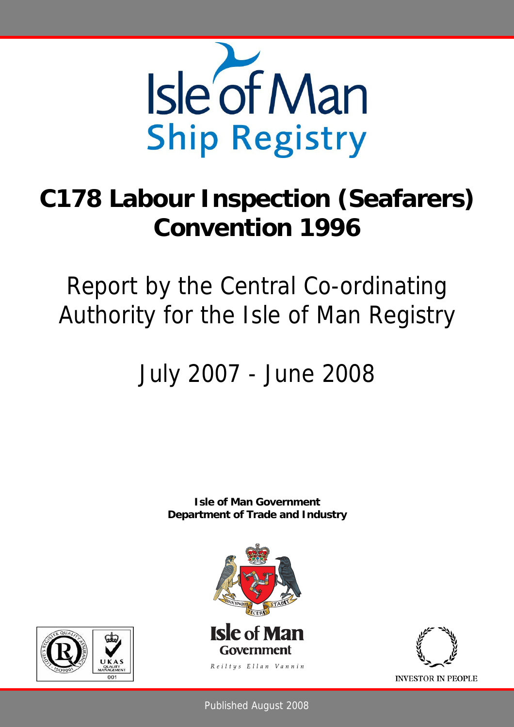

# **C178 Labour Inspection (Seafarers) Convention 1996**

## Report by the Central Co-ordinating Authority for the Isle of Man Registry

# July 2007 - June 2008

**Isle of Man Government Department of Trade and Industry** 







**INVESTOR IN PEOPLE** 

Published August 2008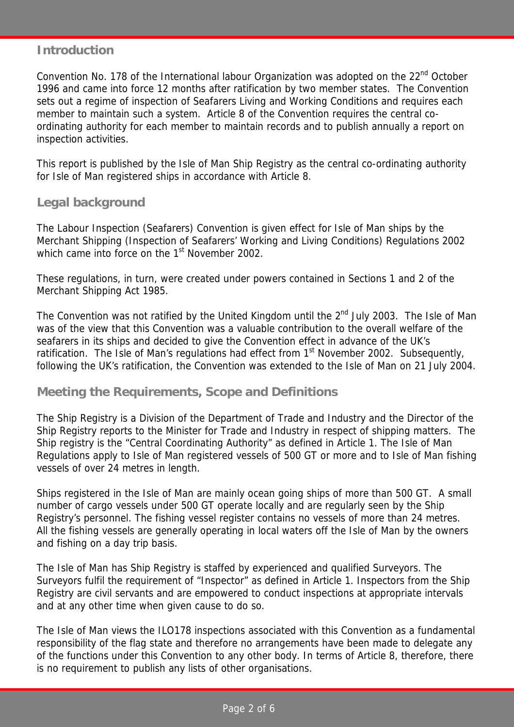#### **Introduction**

Convention No. 178 of the International labour Organization was adopted on the 22<sup>nd</sup> October 1996 and came into force 12 months after ratification by two member states. The Convention sets out a regime of inspection of Seafarers Living and Working Conditions and requires each member to maintain such a system. Article 8 of the Convention requires the central coordinating authority for each member to maintain records and to publish annually a report on inspection activities.

This report is published by the Isle of Man Ship Registry as the central co-ordinating authority for Isle of Man registered ships in accordance with Article 8.

### **Legal background**

The Labour Inspection (Seafarers) Convention is given effect for Isle of Man ships by the Merchant Shipping (Inspection of Seafarers' Working and Living Conditions) Regulations 2002 which came into force on the 1<sup>st</sup> November 2002.

These regulations, in turn, were created under powers contained in Sections 1 and 2 of the Merchant Shipping Act 1985.

The Convention was not ratified by the United Kingdom until the  $2^{nd}$  July 2003. The Isle of Man was of the view that this Convention was a valuable contribution to the overall welfare of the seafarers in its ships and decided to give the Convention effect in advance of the UK's ratification. The Isle of Man's regulations had effect from  $1<sup>st</sup>$  November 2002. Subsequently, following the UK's ratification, the Convention was extended to the Isle of Man on 21 July 2004.

#### **Meeting the Requirements, Scope and Definitions**

The Ship Registry is a Division of the Department of Trade and Industry and the Director of the Ship Registry reports to the Minister for Trade and Industry in respect of shipping matters. The Ship registry is the "Central Coordinating Authority" as defined in Article 1. The Isle of Man Regulations apply to Isle of Man registered vessels of 500 GT or more and to Isle of Man fishing vessels of over 24 metres in length.

Ships registered in the Isle of Man are mainly ocean going ships of more than 500 GT. A small number of cargo vessels under 500 GT operate locally and are regularly seen by the Ship Registry's personnel. The fishing vessel register contains no vessels of more than 24 metres. All the fishing vessels are generally operating in local waters off the Isle of Man by the owners and fishing on a day trip basis.

The Isle of Man has Ship Registry is staffed by experienced and qualified Surveyors. The Surveyors fulfil the requirement of "Inspector" as defined in Article 1. Inspectors from the Ship Registry are civil servants and are empowered to conduct inspections at appropriate intervals and at any other time when given cause to do so.

The Isle of Man views the ILO178 inspections associated with this Convention as a fundamental responsibility of the flag state and therefore no arrangements have been made to delegate any of the functions under this Convention to any other body. In terms of Article 8, therefore, there is no requirement to publish any lists of other organisations.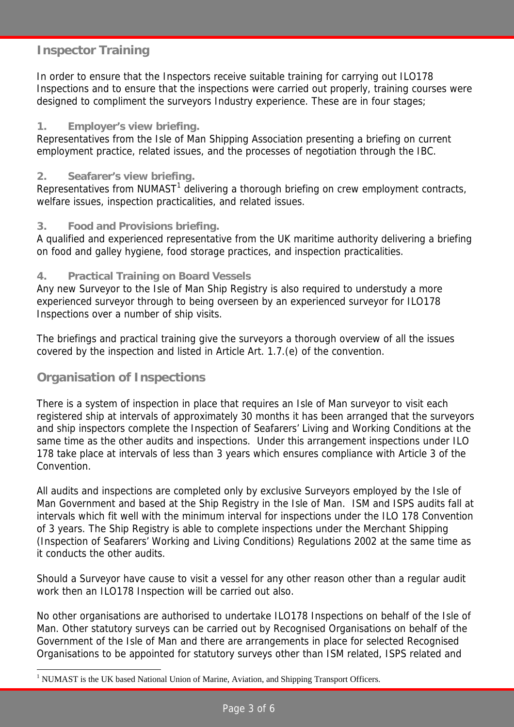## **Inspector Training**

In order to ensure that the Inspectors receive suitable training for carrying out ILO178 Inspections and to ensure that the inspections were carried out properly, training courses were designed to compliment the surveyors Industry experience. These are in four stages;

#### **1. Employer's view briefing.**

Representatives from the Isle of Man Shipping Association presenting a briefing on current employment practice, related issues, and the processes of negotiation through the IBC.

#### **2. Seafarer's view briefing.**

Representatives from NUMAST $<sup>1</sup>$  delivering a thorough briefing on crew employment contracts,</sup> welfare issues, inspection practicalities, and related issues.

#### **3. Food and Provisions briefing.**

A qualified and experienced representative from the UK maritime authority delivering a briefing on food and galley hygiene, food storage practices, and inspection practicalities.

#### **4. Practical Training on Board Vessels**

Any new Surveyor to the Isle of Man Ship Registry is also required to understudy a more experienced surveyor through to being overseen by an experienced surveyor for ILO178 Inspections over a number of ship visits.

The briefings and practical training give the surveyors a thorough overview of all the issues covered by the inspection and listed in Article Art. 1.7.(e) of the convention.

### **Organisation of Inspections**

 $\overline{a}$ 

There is a system of inspection in place that requires an Isle of Man surveyor to visit each registered ship at intervals of approximately 30 months it has been arranged that the surveyors and ship inspectors complete the Inspection of Seafarers' Living and Working Conditions at the same time as the other audits and inspections. Under this arrangement inspections under ILO 178 take place at intervals of less than 3 years which ensures compliance with Article 3 of the Convention.

All audits and inspections are completed only by exclusive Surveyors employed by the Isle of Man Government and based at the Ship Registry in the Isle of Man. ISM and ISPS audits fall at intervals which fit well with the minimum interval for inspections under the ILO 178 Convention of 3 years. The Ship Registry is able to complete inspections under the Merchant Shipping (Inspection of Seafarers' Working and Living Conditions) Regulations 2002 at the same time as it conducts the other audits.

Should a Surveyor have cause to visit a vessel for any other reason other than a regular audit work then an ILO178 Inspection will be carried out also.

No other organisations are authorised to undertake ILO178 Inspections on behalf of the Isle of Man. Other statutory surveys can be carried out by Recognised Organisations on behalf of the Government of the Isle of Man and there are arrangements in place for selected Recognised Organisations to be appointed for statutory surveys other than ISM related, ISPS related and

<sup>&</sup>lt;sup>1</sup> NUMAST is the UK based National Union of Marine, Aviation, and Shipping Transport Officers.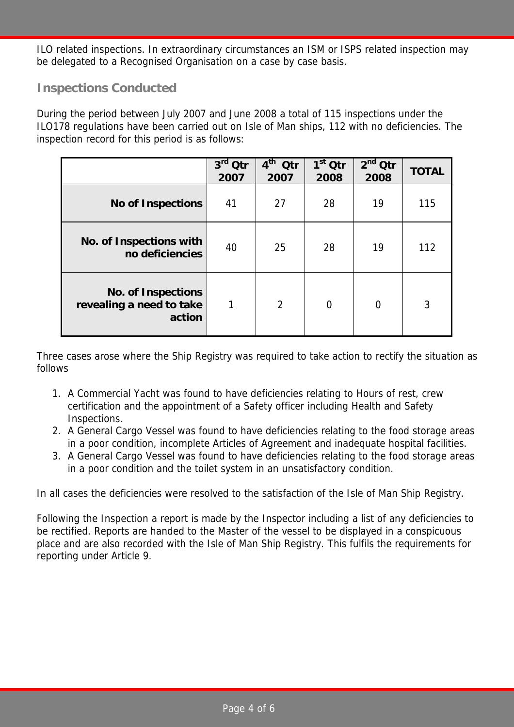ILO related inspections. In extraordinary circumstances an ISM or ISPS related inspection may be delegated to a Recognised Organisation on a case by case basis.

## **Inspections Conducted**

During the period between July 2007 and June 2008 a total of 115 inspections under the ILO178 regulations have been carried out on Isle of Man ships, 112 with no deficiencies. The inspection record for this period is as follows:

|                                                                 | $3rd$ Qtr<br>2007 | $4th$ Qtr<br>2007 | $\overline{1}^{\rm st}$ Qtr<br>2008 | $2nd$ Qtr<br>2008 | <b>TOTAL</b> |
|-----------------------------------------------------------------|-------------------|-------------------|-------------------------------------|-------------------|--------------|
| <b>No of Inspections</b>                                        | 41                | 27                | 28                                  | 19                | 115          |
| No. of Inspections with<br>no deficiencies                      | 40                | 25                | 28                                  | 19                | 112          |
| <b>No. of Inspections</b><br>revealing a need to take<br>action | 1                 | $\overline{2}$    | $\overline{0}$                      | $\overline{0}$    | 3            |

Three cases arose where the Ship Registry was required to take action to rectify the situation as follows

- 1. A Commercial Yacht was found to have deficiencies relating to Hours of rest, crew certification and the appointment of a Safety officer including Health and Safety Inspections.
- 2. A General Cargo Vessel was found to have deficiencies relating to the food storage areas in a poor condition, incomplete Articles of Agreement and inadequate hospital facilities.
- 3. A General Cargo Vessel was found to have deficiencies relating to the food storage areas in a poor condition and the toilet system in an unsatisfactory condition.

In all cases the deficiencies were resolved to the satisfaction of the Isle of Man Ship Registry.

Following the Inspection a report is made by the Inspector including a list of any deficiencies to be rectified. Reports are handed to the Master of the vessel to be displayed in a conspicuous place and are also recorded with the Isle of Man Ship Registry. This fulfils the requirements for reporting under Article 9.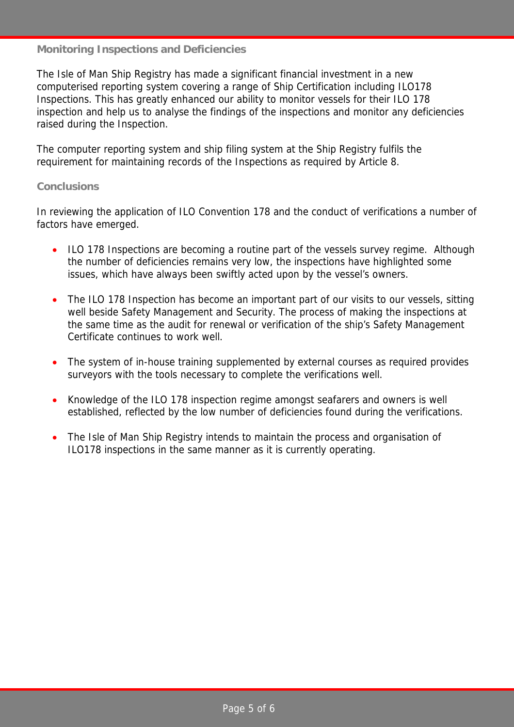#### **Monitoring Inspections and Deficiencies**

The Isle of Man Ship Registry has made a significant financial investment in a new computerised reporting system covering a range of Ship Certification including ILO178 Inspections. This has greatly enhanced our ability to monitor vessels for their ILO 178 inspection and help us to analyse the findings of the inspections and monitor any deficiencies raised during the Inspection.

The computer reporting system and ship filing system at the Ship Registry fulfils the requirement for maintaining records of the Inspections as required by Article 8.

#### **Conclusions**

In reviewing the application of ILO Convention 178 and the conduct of verifications a number of factors have emerged.

- ILO 178 Inspections are becoming a routine part of the vessels survey regime. Although the number of deficiencies remains very low, the inspections have highlighted some issues, which have always been swiftly acted upon by the vessel's owners.
- The ILO 178 Inspection has become an important part of our visits to our vessels, sitting well beside Safety Management and Security. The process of making the inspections at the same time as the audit for renewal or verification of the ship's Safety Management Certificate continues to work well.
- The system of in-house training supplemented by external courses as required provides surveyors with the tools necessary to complete the verifications well.
- Knowledge of the ILO 178 inspection regime amongst seafarers and owners is well established, reflected by the low number of deficiencies found during the verifications.
- The Isle of Man Ship Registry intends to maintain the process and organisation of ILO178 inspections in the same manner as it is currently operating.